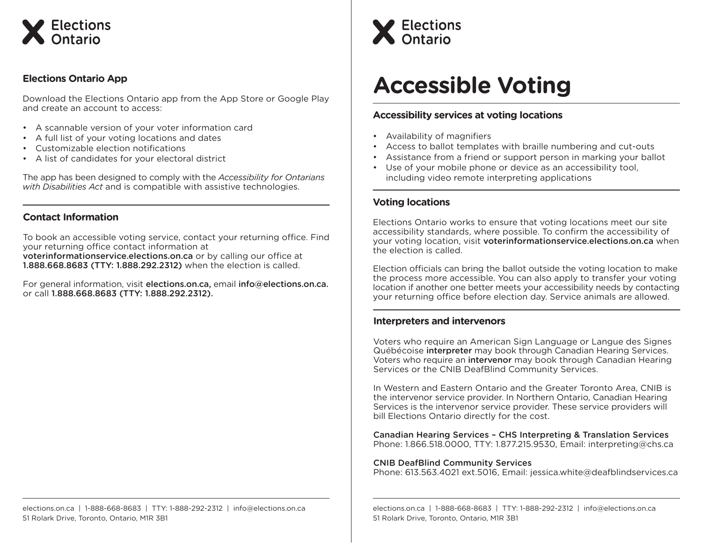

# **Elections Ontario App**

Download the Elections Ontario app from the App Store or Google Play and create an account to access:

- A scannable version of your voter information card
- A full list of your voting locations and dates
- Customizable election notifications
- A list of candidates for your electoral district

The app has been designed to comply with the *Accessibility for Ontarians with Disabilities Act* and is compatible with assistive technologies.

## **Contact Information**

To book an accessible voting service, contact your returning office. Find your returning office contact information at voterinformationservice.elections.on.ca or by calling our office at 1.888.668.8683 (TTY: 1.888.292.2312) when the election is called.

For general information, visit elections.on.ca, email info@elections.on.ca. or call 1.888.668.8683 (TTY: 1.888.292.2312).



# **Accessible Voting**

## **Accessibility services at voting locations**

- Availability of magnifiers
- Access to ballot templates with braille numbering and cut-outs
- Assistance from a friend or support person in marking your ballot
- Use of your mobile phone or device as an accessibility tool, including video remote interpreting applications

## **Voting locations**

Elections Ontario works to ensure that voting locations meet our site accessibility standards, where possible. To confirm the accessibility of your voting location, visit voterinformationservice.elections.on.ca when the election is called.

Election officials can bring the ballot outside the voting location to make the process more accessible. You can also apply to transfer your voting location if another one better meets your accessibility needs by contacting your returning office before election day. Service animals are allowed.

## **Interpreters and intervenors**

Voters who require an American Sign Language or Langue des Signes Québécoise interpreter may book through Canadian Hearing Services. Voters who require an intervenor may book through Canadian Hearing Services or the CNIB DeafBlind Community Services.

In Western and Eastern Ontario and the Greater Toronto Area, CNIB is the intervenor service provider. In Northern Ontario, Canadian Hearing Services is the intervenor service provider. These service providers will bill Elections Ontario directly for the cost.

Canadian Hearing Services – CHS Interpreting & Translation Services Phone: 1.866.518.0000, TTY: 1.877.215.9530, Email: interpreting@chs.ca

#### CNIB DeafBlind Community Services

Phone: 613.563.4021 ext.5016, Email: jessica.white@deafblindservices.ca